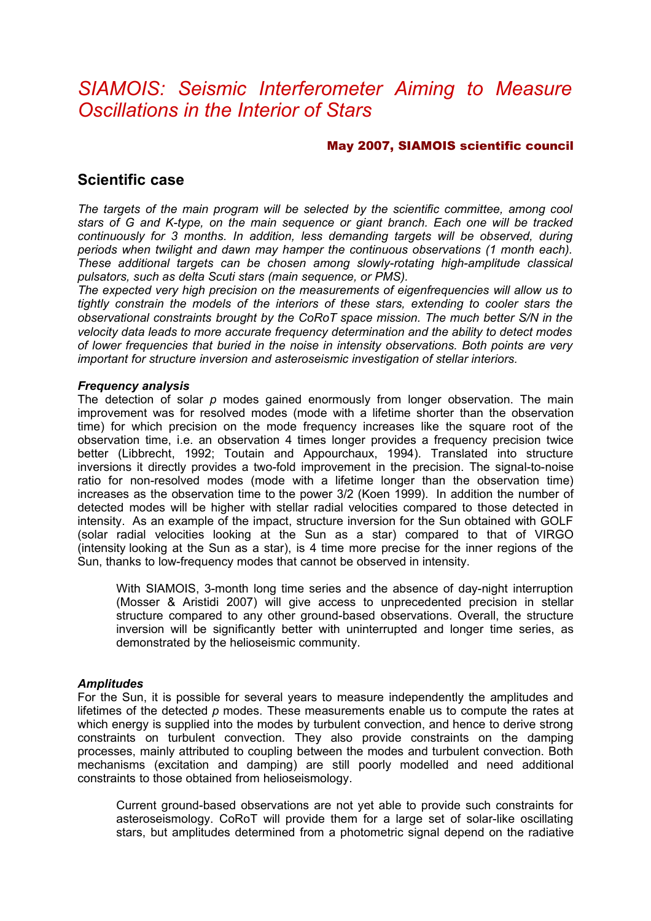# *SIAMOIS: Seismic Interferometer Aiming to Measure Oscillations in the Interior of Stars*

#### May 2007, SIAMOIS scientific council

# **Scientific case**

*The targets of the main program will be selected by the scientific committee, among cool stars of G and K-type, on the main sequence or giant branch. Each one will be tracked continuously for 3 months. In addition, less demanding targets will be observed, during periods when twilight and dawn may hamper the continuous observations (1 month each). These additional targets can be chosen among slowly-rotating high-amplitude classical pulsators, such as delta Scuti stars (main sequence, or PMS).*

*The expected very high precision on the measurements of eigenfrequencies will allow us to tightly constrain the models of the interiors of these stars, extending to cooler stars the observational constraints brought by the CoRoT space mission. The much better S/N in the velocity data leads to more accurate frequency determination and the ability to detect modes of lower frequencies that buried in the noise in intensity observations. Both points are very important for structure inversion and asteroseismic investigation of stellar interiors.*

#### *Frequency analysis*

The detection of solar *p* modes gained enormously from longer observation. The main improvement was for resolved modes (mode with a lifetime shorter than the observation time) for which precision on the mode frequency increases like the square root of the observation time, i.e. an observation 4 times longer provides a frequency precision twice better (Libbrecht, 1992; Toutain and Appourchaux, 1994). Translated into structure inversions it directly provides a two-fold improvement in the precision. The signal-to-noise ratio for non-resolved modes (mode with a lifetime longer than the observation time) increases as the observation time to the power 3/2 (Koen 1999). In addition the number of detected modes will be higher with stellar radial velocities compared to those detected in intensity. As an example of the impact, structure inversion for the Sun obtained with GOLF (solar radial velocities looking at the Sun as a star) compared to that of VIRGO (intensity looking at the Sun as a star), is 4 time more precise for the inner regions of the Sun, thanks to low-frequency modes that cannot be observed in intensity.

With SIAMOIS, 3-month long time series and the absence of day-night interruption (Mosser & Aristidi 2007) will give access to unprecedented precision in stellar structure compared to any other ground-based observations. Overall, the structure inversion will be significantly better with uninterrupted and longer time series, as demonstrated by the helioseismic community.

## *Amplitudes*

For the Sun, it is possible for several years to measure independently the amplitudes and lifetimes of the detected *p* modes. These measurements enable us to compute the rates at which energy is supplied into the modes by turbulent convection, and hence to derive strong constraints on turbulent convection. They also provide constraints on the damping processes, mainly attributed to coupling between the modes and turbulent convection. Both mechanisms (excitation and damping) are still poorly modelled and need additional constraints to those obtained from helioseismology.

Current ground-based observations are not yet able to provide such constraints for asteroseismology. CoRoT will provide them for a large set of solar-like oscillating stars, but amplitudes determined from a photometric signal depend on the radiative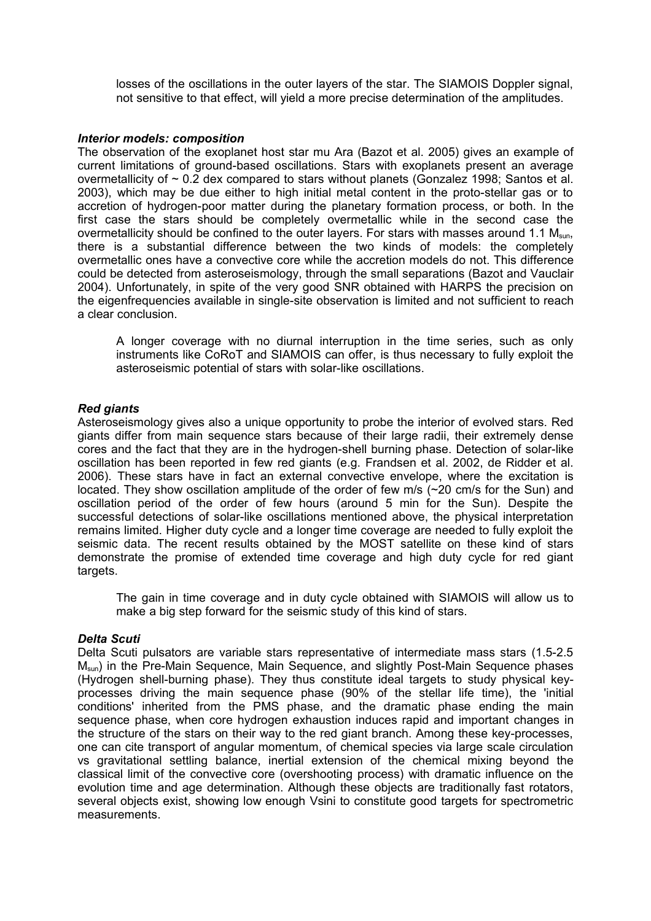losses of the oscillations in the outer layers of the star. The SIAMOIS Doppler signal, not sensitive to that effect, will yield a more precise determination of the amplitudes.

#### *Interior models: composition*

The observation of the exoplanet host star mu Ara (Bazot et al. 2005) gives an example of current limitations of ground-based oscillations. Stars with exoplanets present an average overmetallicity of ~ 0.2 dex compared to stars without planets (Gonzalez 1998; Santos et al. 2003), which may be due either to high initial metal content in the proto-stellar gas or to accretion of hydrogen-poor matter during the planetary formation process, or both. In the first case the stars should be completely overmetallic while in the second case the overmetallicity should be confined to the outer layers. For stars with masses around 1.1 M<sub>sun</sub>, there is a substantial difference between the two kinds of models: the completely overmetallic ones have a convective core while the accretion models do not. This difference could be detected from asteroseismology, through the small separations (Bazot and Vauclair 2004). Unfortunately, in spite of the very good SNR obtained with HARPS the precision on the eigenfrequencies available in single-site observation is limited and not sufficient to reach a clear conclusion.

A longer coverage with no diurnal interruption in the time series, such as only instruments like CoRoT and SIAMOIS can offer, is thus necessary to fully exploit the asteroseismic potential of stars with solar-like oscillations.

## *Red giants*

Asteroseismology gives also a unique opportunity to probe the interior of evolved stars. Red giants differ from main sequence stars because of their large radii, their extremely dense cores and the fact that they are in the hydrogen-shell burning phase. Detection of solar-like oscillation has been reported in few red giants (e.g. Frandsen et al. 2002, de Ridder et al. 2006). These stars have in fact an external convective envelope, where the excitation is located. They show oscillation amplitude of the order of few m/s (~20 cm/s for the Sun) and oscillation period of the order of few hours (around 5 min for the Sun). Despite the successful detections of solar-like oscillations mentioned above, the physical interpretation remains limited. Higher duty cycle and a longer time coverage are needed to fully exploit the seismic data. The recent results obtained by the MOST satellite on these kind of stars demonstrate the promise of extended time coverage and high duty cycle for red giant targets.

The gain in time coverage and in duty cycle obtained with SIAMOIS will allow us to make a big step forward for the seismic study of this kind of stars.

## *Delta Scuti*

Delta Scuti pulsators are variable stars representative of intermediate mass stars (1.5-2.5 Msun) in the Pre-Main Sequence, Main Sequence, and slightly Post-Main Sequence phases (Hydrogen shell-burning phase). They thus constitute ideal targets to study physical keyprocesses driving the main sequence phase (90% of the stellar life time), the 'initial conditions' inherited from the PMS phase, and the dramatic phase ending the main sequence phase, when core hydrogen exhaustion induces rapid and important changes in the structure of the stars on their way to the red giant branch. Among these key-processes, one can cite transport of angular momentum, of chemical species via large scale circulation vs gravitational settling balance, inertial extension of the chemical mixing beyond the classical limit of the convective core (overshooting process) with dramatic influence on the evolution time and age determination. Although these objects are traditionally fast rotators, several objects exist, showing low enough Vsini to constitute good targets for spectrometric measurements.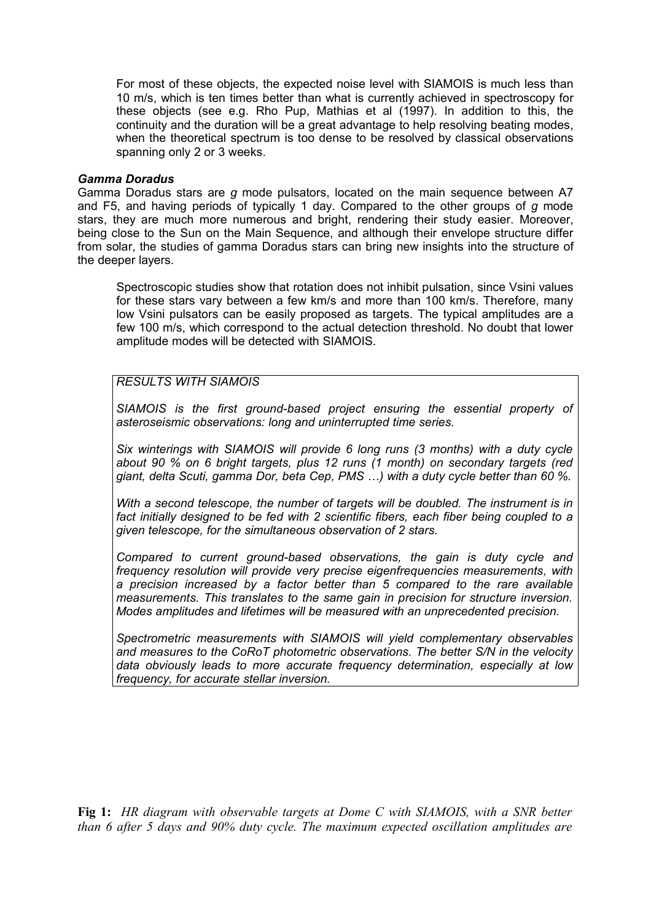For most of these objects, the expected noise level with SIAMOIS is much less than 10 m/s, which is ten times better than what is currently achieved in spectroscopy for these objects (see e.g. Rho Pup, Mathias et al (1997). In addition to this, the continuity and the duration will be a great advantage to help resolving beating modes, when the theoretical spectrum is too dense to be resolved by classical observations spanning only 2 or 3 weeks.

#### *Gamma Doradus*

Gamma Doradus stars are *g* mode pulsators, located on the main sequence between A7 and F5, and having periods of typically 1 day. Compared to the other groups of *g* mode stars, they are much more numerous and bright, rendering their study easier. Moreover, being close to the Sun on the Main Sequence, and although their envelope structure differ from solar, the studies of gamma Doradus stars can bring new insights into the structure of the deeper layers.

Spectroscopic studies show that rotation does not inhibit pulsation, since Vsini values for these stars vary between a few km/s and more than 100 km/s. Therefore, many low Vsini pulsators can be easily proposed as targets. The typical amplitudes are a few 100 m/s, which correspond to the actual detection threshold. No doubt that lower amplitude modes will be detected with SIAMOIS.

*RESULTS WITH SIAMOIS*

*SIAMOIS is the first ground-based project ensuring the essential property of asteroseismic observations: long and uninterrupted time series.*

*Six winterings with SIAMOIS will provide 6 long runs (3 months) with a duty cycle about 90 % on 6 bright targets, plus 12 runs (1 month) on secondary targets (red giant, delta Scuti, gamma Dor, beta Cep, PMS …) with a duty cycle better than 60 %.*

*With a second telescope, the number of targets will be doubled. The instrument is in fact initially designed to be fed with 2 scientific fibers, each fiber being coupled to a given telescope, for the simultaneous observation of 2 stars.*

*Compared to current ground-based observations, the gain is duty cycle and frequency resolution will provide very precise eigenfrequencies measurements, with a precision increased by a factor better than 5 compared to the rare available measurements. This translates to the same gain in precision for structure inversion. Modes amplitudes and lifetimes will be measured with an unprecedented precision.*

*Spectrometric measurements with SIAMOIS will yield complementary observables and measures to the CoRoT photometric observations. The better S/N in the velocity data obviously leads to more accurate frequency determination, especially at low frequency, for accurate stellar inversion.*

**Fig 1:** *HR diagram with observable targets at Dome C with SIAMOIS, with a SNR better than 6 after 5 days and 90% duty cycle. The maximum expected oscillation amplitudes are*